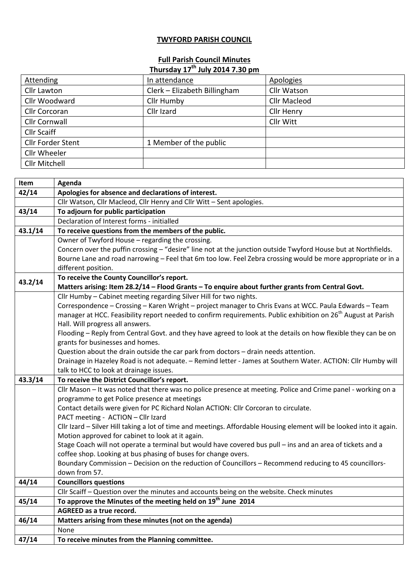## **TWYFORD PARISH COUNCIL**

## **Full Parish Council Minutes Thursday 17th July 2014 7.30 pm**

| In attendance                | <b>Apologies</b>    |
|------------------------------|---------------------|
| Clerk - Elizabeth Billingham | Cllr Watson         |
| Cllr Humby                   | <b>Cllr Macleod</b> |
| Cllr Izard                   | Cllr Henry          |
|                              | Cllr Witt           |
|                              |                     |
| 1 Member of the public       |                     |
|                              |                     |
|                              |                     |
|                              |                     |

| Item    | Agenda                                                                                                                    |
|---------|---------------------------------------------------------------------------------------------------------------------------|
| 42/14   | Apologies for absence and declarations of interest.                                                                       |
|         | Cllr Watson, Cllr Macleod, Cllr Henry and Cllr Witt - Sent apologies.                                                     |
| 43/14   | To adjourn for public participation                                                                                       |
|         | Declaration of Interest forms - initialled                                                                                |
| 43.1/14 | To receive questions from the members of the public.                                                                      |
|         | Owner of Twyford House - regarding the crossing.                                                                          |
|         | Concern over the puffin crossing - "desire" line not at the junction outside Twyford House but at Northfields.            |
|         | Bourne Lane and road narrowing - Feel that 6m too low. Feel Zebra crossing would be more appropriate or in a              |
|         | different position.                                                                                                       |
| 43.2/14 | To receive the County Councillor's report.                                                                                |
|         | Matters arising: Item 28.2/14 - Flood Grants - To enquire about further grants from Central Govt.                         |
|         | Cllr Humby - Cabinet meeting regarding Silver Hill for two nights.                                                        |
|         | Correspondence - Crossing - Karen Wright - project manager to Chris Evans at WCC. Paula Edwards - Team                    |
|         | manager at HCC. Feasibility report needed to confirm requirements. Public exhibition on 26 <sup>th</sup> August at Parish |
|         | Hall. Will progress all answers.                                                                                          |
|         | Flooding – Reply from Central Govt. and they have agreed to look at the details on how flexible they can be on            |
|         | grants for businesses and homes.                                                                                          |
|         | Question about the drain outside the car park from doctors - drain needs attention.                                       |
|         | Drainage in Hazeley Road is not adequate. - Remind letter - James at Southern Water. ACTION: Cllr Humby will              |
|         | talk to HCC to look at drainage issues.                                                                                   |
| 43.3/14 | To receive the District Councillor's report.                                                                              |
|         | Cllr Mason - It was noted that there was no police presence at meeting. Police and Crime panel - working on a             |
|         | programme to get Police presence at meetings                                                                              |
|         | Contact details were given for PC Richard Nolan ACTION: Cllr Corcoran to circulate.                                       |
|         | PACT meeting - ACTION - Cllr Izard                                                                                        |
|         | Cllr Izard - Silver Hill taking a lot of time and meetings. Affordable Housing element will be looked into it again.      |
|         | Motion approved for cabinet to look at it again.                                                                          |
|         | Stage Coach will not operate a terminal but would have covered bus pull - ins and an area of tickets and a                |
|         | coffee shop. Looking at bus phasing of buses for change overs.                                                            |
|         | Boundary Commission - Decision on the reduction of Councillors - Recommend reducing to 45 councillors-                    |
|         | down from 57.                                                                                                             |
| 44/14   | <b>Councillors questions</b>                                                                                              |
|         | Cllr Scaiff - Question over the minutes and accounts being on the website. Check minutes                                  |
| 45/14   | To approve the Minutes of the meeting held on 19 <sup>th</sup> June 2014                                                  |
|         | AGREED as a true record.                                                                                                  |
| 46/14   | Matters arising from these minutes (not on the agenda)                                                                    |
|         | None                                                                                                                      |
| 47/14   | To receive minutes from the Planning committee.                                                                           |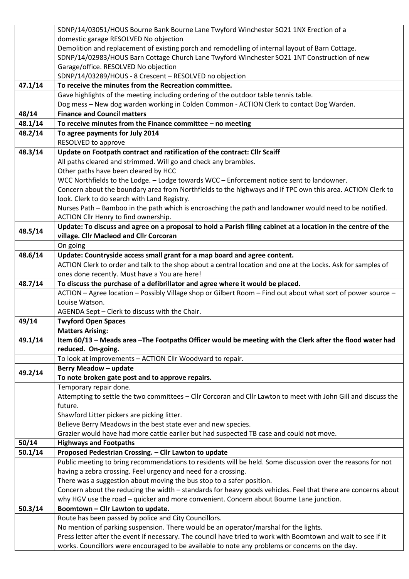|         | SDNP/14/03051/HOUS Bourne Bank Bourne Lane Twyford Winchester SO21 1NX Erection of a                           |
|---------|----------------------------------------------------------------------------------------------------------------|
|         | domestic garage RESOLVED No objection                                                                          |
|         | Demolition and replacement of existing porch and remodelling of internal layout of Barn Cottage.               |
|         | SDNP/14/02983/HOUS Barn Cottage Church Lane Twyford Winchester SO21 1NT Construction of new                    |
|         | Garage/office. RESOLVED No objection                                                                           |
|         | SDNP/14/03289/HOUS - 8 Crescent - RESOLVED no objection                                                        |
| 47.1/14 | To receive the minutes from the Recreation committee.                                                          |
|         | Gave highlights of the meeting including ordering of the outdoor table tennis table.                           |
|         | Dog mess - New dog warden working in Colden Common - ACTION Clerk to contact Dog Warden.                       |
| 48/14   | <b>Finance and Council matters</b>                                                                             |
| 48.1/14 | To receive minutes from the Finance committee $-$ no meeting                                                   |
| 48.2/14 | To agree payments for July 2014                                                                                |
|         | RESOLVED to approve                                                                                            |
| 48.3/14 | Update on Footpath contract and ratification of the contract: Cllr Scaiff                                      |
|         | All paths cleared and strimmed. Will go and check any brambles.                                                |
|         | Other paths have been cleared by HCC                                                                           |
|         | WCC Northfields to the Lodge. - Lodge towards WCC - Enforcement notice sent to landowner.                      |
|         | Concern about the boundary area from Northfields to the highways and if TPC own this area. ACTION Clerk to     |
|         | look. Clerk to do search with Land Registry.                                                                   |
|         | Nurses Path - Bamboo in the path which is encroaching the path and landowner would need to be notified.        |
|         | ACTION Cllr Henry to find ownership.                                                                           |
| 48.5/14 | Update: To discuss and agree on a proposal to hold a Parish filing cabinet at a location in the centre of the  |
|         | village. Cllr Macleod and Cllr Corcoran                                                                        |
|         | On going                                                                                                       |
| 48.6/14 | Update: Countryside access small grant for a map board and agree content.                                      |
|         | ACTION Clerk to order and talk to the shop about a central location and one at the Locks. Ask for samples of   |
|         | ones done recently. Must have a You are here!                                                                  |
| 48.7/14 | To discuss the purchase of a defibrillator and agree where it would be placed.                                 |
|         | ACTION - Agree location - Possibly Village shop or Gilbert Room - Find out about what sort of power source -   |
|         | Louise Watson.                                                                                                 |
|         | AGENDA Sept - Clerk to discuss with the Chair.                                                                 |
| 49/14   | <b>Twyford Open Spaces</b>                                                                                     |
|         | <b>Matters Arising:</b>                                                                                        |
| 49.1/14 | Item 60/13 - Meads area - The Footpaths Officer would be meeting with the Clerk after the flood water had      |
|         | reduced. On-going.                                                                                             |
|         | To look at improvements - ACTION Cllr Woodward to repair.                                                      |
| 49.2/14 | <b>Berry Meadow - update</b>                                                                                   |
|         | To note broken gate post and to approve repairs.                                                               |
|         | Temporary repair done.                                                                                         |
|         | Attempting to settle the two committees - Cllr Corcoran and Cllr Lawton to meet with John Gill and discuss the |
|         | future.                                                                                                        |
|         | Shawford Litter pickers are picking litter.                                                                    |
|         | Believe Berry Meadows in the best state ever and new species.                                                  |
|         | Grazier would have had more cattle earlier but had suspected TB case and could not move.                       |
| 50/14   | <b>Highways and Footpaths</b>                                                                                  |
| 50.1/14 | Proposed Pedestrian Crossing. - Cllr Lawton to update                                                          |
|         | Public meeting to bring recommendations to residents will be held. Some discussion over the reasons for not    |
|         | having a zebra crossing. Feel urgency and need for a crossing.                                                 |
|         | There was a suggestion about moving the bus stop to a safer position.                                          |
|         | Concern about the reducing the width - standards for heavy goods vehicles. Feel that there are concerns about  |
|         | why HGV use the road - quicker and more convenient. Concern about Bourne Lane junction.                        |
| 50.3/14 | Boomtown - Cllr Lawton to update.                                                                              |
|         | Route has been passed by police and City Councillors.                                                          |
|         | No mention of parking suspension. There would be an operator/marshal for the lights.                           |
|         | Press letter after the event if necessary. The council have tried to work with Boomtown and wait to see if it  |
|         | works. Councillors were encouraged to be available to note any problems or concerns on the day.                |